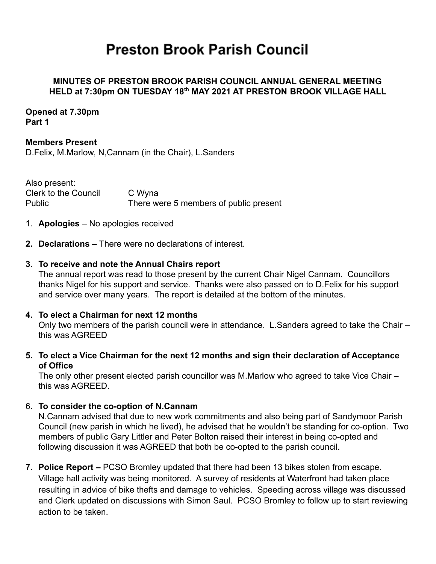# **Preston Brook Parish Council**

## **MINUTES OF PRESTON BROOK PARISH COUNCIL ANNUAL GENERAL MEETING HELD at 7:30pm ON TUESDAY 18th MAY 2021 AT PRESTON BROOK VILLAGE HALL**

#### **Opened at 7.30pm Part 1**

# **Members Present**

D.Felix, M.Marlow, N,Cannam (in the Chair), L.Sanders

Also present: Clerk to the Council C Wyna Public There were 5 members of public present

- 1. **Apologies** No apologies received
- **2. Declarations –** There were no declarations of interest.

## **3. To receive and note the Annual Chairs report**

The annual report was read to those present by the current Chair Nigel Cannam. Councillors thanks Nigel for his support and service. Thanks were also passed on to D.Felix for his support and service over many years. The report is detailed at the bottom of the minutes.

#### **4. To elect a Chairman for next 12 months**

Only two members of the parish council were in attendance. L.Sanders agreed to take the Chair – this was AGREED

# **5. To elect a Vice Chairman for the next 12 months and sign their declaration of Acceptance of Office**

The only other present elected parish councillor was M.Marlow who agreed to take Vice Chair – this was AGREED.

# 6. **To consider the co-option of N.Cannam**

N.Cannam advised that due to new work commitments and also being part of Sandymoor Parish Council (new parish in which he lived), he advised that he wouldn't be standing for co-option. Two members of public Gary Littler and Peter Bolton raised their interest in being co-opted and following discussion it was AGREED that both be co-opted to the parish council.

**7. Police Report –** PCSO Bromley updated that there had been 13 bikes stolen from escape. Village hall activity was being monitored. A survey of residents at Waterfront had taken place resulting in advice of bike thefts and damage to vehicles. Speeding across village was discussed and Clerk updated on discussions with Simon Saul. PCSO Bromley to follow up to start reviewing action to be taken.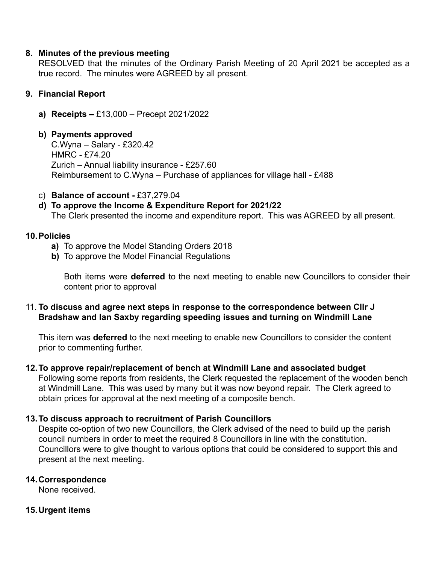## **8. Minutes of the previous meeting**

RESOLVED that the minutes of the Ordinary Parish Meeting of 20 April 2021 be accepted as a true record. The minutes were AGREED by all present.

## **9. Financial Report**

**a) Receipts –** £13,000 – Precept 2021/2022

#### **b) Payments approved**

C.Wyna – Salary - £320.42 HMRC - £74.20 Zurich – Annual liability insurance - £257.60 Reimbursement to C.Wyna – Purchase of appliances for village hall - £488

- c) **Balance of account -** £37,279.04
- **d) To approve the Income & Expenditure Report for 2021/22** The Clerk presented the income and expenditure report. This was AGREED by all present.

## **10.Policies**

- **a)** To approve the Model Standing Orders 2018
- **b)** To approve the Model Financial Regulations

Both items were **deferred** to the next meeting to enable new Councillors to consider their content prior to approval

## 11. **To discuss and agree next steps in response to the correspondence between Cllr J Bradshaw and Ian Saxby regarding speeding issues and turning on Windmill Lane**

This item was **deferred** to the next meeting to enable new Councillors to consider the content prior to commenting further.

#### **12.To approve repair/replacement of bench at Windmill Lane and associated budget**

Following some reports from residents, the Clerk requested the replacement of the wooden bench at Windmill Lane. This was used by many but it was now beyond repair. The Clerk agreed to obtain prices for approval at the next meeting of a composite bench.

# **13.To discuss approach to recruitment of Parish Councillors**

Despite co-option of two new Councillors, the Clerk advised of the need to build up the parish council numbers in order to meet the required 8 Councillors in line with the constitution. Councillors were to give thought to various options that could be considered to support this and present at the next meeting.

# **14.Correspondence**

None received.

# **15.Urgent items**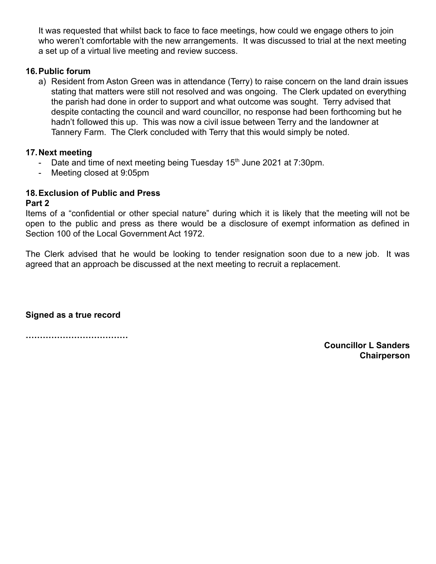It was requested that whilst back to face to face meetings, how could we engage others to join who weren't comfortable with the new arrangements. It was discussed to trial at the next meeting a set up of a virtual live meeting and review success.

## **16.Public forum**

a) Resident from Aston Green was in attendance (Terry) to raise concern on the land drain issues stating that matters were still not resolved and was ongoing. The Clerk updated on everything the parish had done in order to support and what outcome was sought. Terry advised that despite contacting the council and ward councillor, no response had been forthcoming but he hadn't followed this up. This was now a civil issue between Terry and the landowner at Tannery Farm. The Clerk concluded with Terry that this would simply be noted.

## **17.Next meeting**

- Date and time of next meeting being Tuesday  $15<sup>th</sup>$  June 2021 at 7:30pm.
- Meeting closed at 9:05pm

# **18.Exclusion of Public and Press**

#### **Part 2**

Items of a "confidential or other special nature" during which it is likely that the meeting will not be open to the public and press as there would be a disclosure of exempt information as defined in Section 100 of the Local Government Act 1972.

The Clerk advised that he would be looking to tender resignation soon due to a new job. It was agreed that an approach be discussed at the next meeting to recruit a replacement.

**Signed as a true record**

**………………………………**

**Councillor L Sanders Chairperson**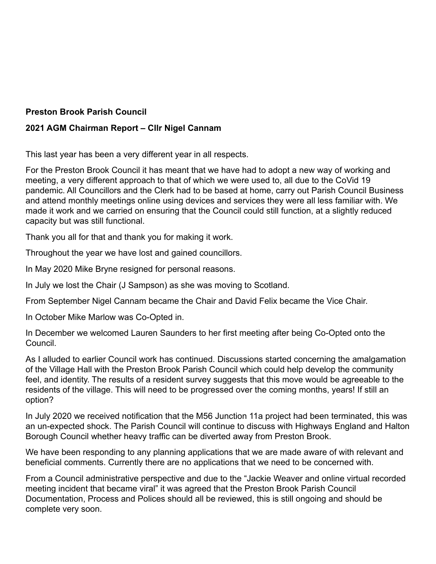# **Preston Brook Parish Council**

# **2021 AGM Chairman Report – Cllr Nigel Cannam**

This last year has been a very different year in all respects.

For the Preston Brook Council it has meant that we have had to adopt a new way of working and meeting, a very different approach to that of which we were used to, all due to the CoVid 19 pandemic. All Councillors and the Clerk had to be based at home, carry out Parish Council Business and attend monthly meetings online using devices and services they were all less familiar with. We made it work and we carried on ensuring that the Council could still function, at a slightly reduced capacity but was still functional.

Thank you all for that and thank you for making it work.

Throughout the year we have lost and gained councillors.

In May 2020 Mike Bryne resigned for personal reasons.

In July we lost the Chair (J Sampson) as she was moving to Scotland.

From September Nigel Cannam became the Chair and David Felix became the Vice Chair.

In October Mike Marlow was Co-Opted in.

In December we welcomed Lauren Saunders to her first meeting after being Co-Opted onto the Council.

As I alluded to earlier Council work has continued. Discussions started concerning the amalgamation of the Village Hall with the Preston Brook Parish Council which could help develop the community feel, and identity. The results of a resident survey suggests that this move would be agreeable to the residents of the village. This will need to be progressed over the coming months, years! If still an option?

In July 2020 we received notification that the M56 Junction 11a project had been terminated, this was an un-expected shock. The Parish Council will continue to discuss with Highways England and Halton Borough Council whether heavy traffic can be diverted away from Preston Brook.

We have been responding to any planning applications that we are made aware of with relevant and beneficial comments. Currently there are no applications that we need to be concerned with.

From a Council administrative perspective and due to the "Jackie Weaver and online virtual recorded meeting incident that became viral" it was agreed that the Preston Brook Parish Council Documentation, Process and Polices should all be reviewed, this is still ongoing and should be complete very soon.